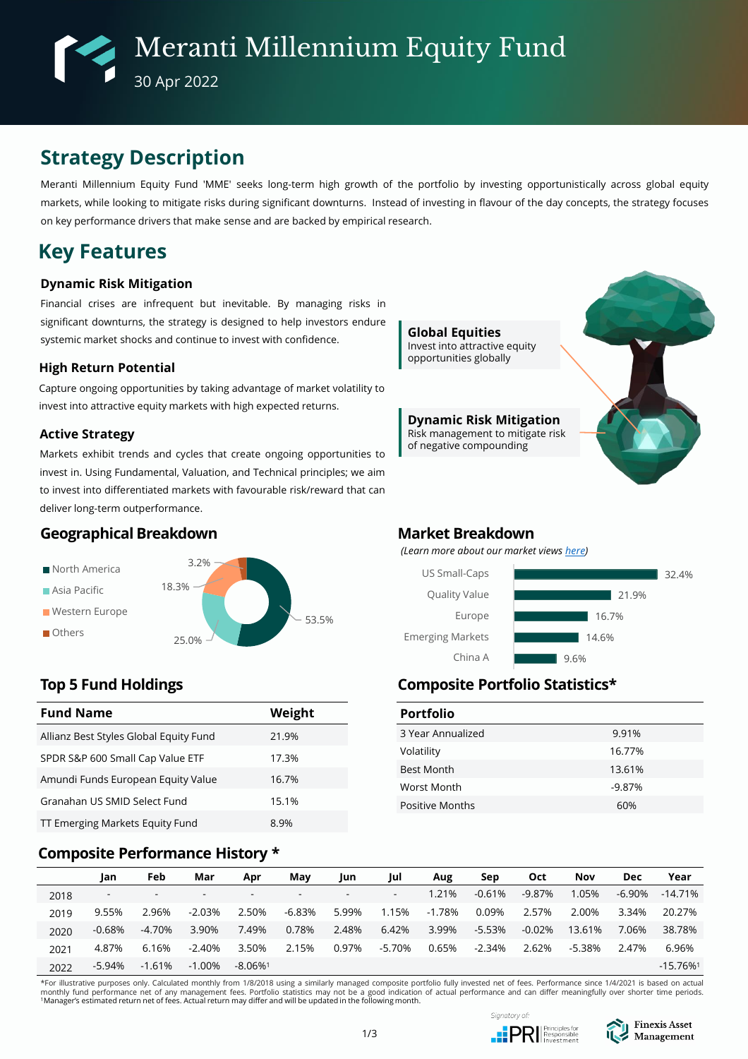# **Strategy Description**

Meranti Millennium Equity Fund 'MME' seeks long-term high growth of the portfolio by investing opportunistically across global equity markets, while looking to mitigate risks during significant downturns. Instead of investing in flavour of the day concepts, the strategy focuses on key performance drivers that make sense and are backed by empirical research.

# **Key Features**

### **Dynamic Risk Mitigation**

Financial crises are infrequent but inevitable. By managing risks in significant downturns, the strategy is designed to help investors endure systemic market shocks and continue to invest with confidence.

### **High Return Potential**

Capture ongoing opportunities by taking advantage of market volatility to invest into attractive equity markets with high expected returns.

### **Active Strategy**

Markets exhibit trends and cycles that create ongoing opportunities to invest in. Using Fundamental, Valuation, and Technical principles; we aim to invest into differentiated markets with favourable risk/reward that can deliver long-term outperformance.

# **Geographical Breakdown**



| <b>Fund Name</b>                       | Weight |
|----------------------------------------|--------|
| Allianz Best Styles Global Equity Fund | 21.9%  |
| SPDR S&P 600 Small Cap Value ETF       | 17.3%  |
| Amundi Funds European Equity Value     | 16.7%  |
| Granahan US SMID Select Fund           | 15.1%  |
| TT Emerging Markets Equity Fund        | 8.9%   |

## **Composite Performance History \***



### **Market Breakdown**

*(Learn more about our market views [here\)](https://www.finexisam.com/publication/monthly/FAM_Commentary_Detailed Report_202205.pdf)*



# **Top 5 Fund Holdings Composite Portfolio Statistics\***

| <b>Portfolio</b>       |          |
|------------------------|----------|
| 3 Year Annualized      | 9.91%    |
| Volatility             | 16.77%   |
| <b>Best Month</b>      | 13.61%   |
| Worst Month            | $-9.87%$ |
| <b>Positive Months</b> | 60%      |

|      | Jan                      | Feb                      | Mar                      | Apr                      | May                      | Jun    | Jul                      | Aug    | Sep      | <b>Oct</b> | <b>Nov</b> | <b>Dec</b> | Year                   |
|------|--------------------------|--------------------------|--------------------------|--------------------------|--------------------------|--------|--------------------------|--------|----------|------------|------------|------------|------------------------|
| 2018 | $\overline{\phantom{a}}$ | $\overline{\phantom{0}}$ | $\overline{\phantom{0}}$ | $\overline{\phantom{a}}$ | $\overline{\phantom{a}}$ | $\sim$ | $\overline{\phantom{a}}$ | 1.21%  | $-0.61%$ | $-9.87%$   | 1.05%      | -6.90%     | $-14.71\%$             |
| 2019 | 9.55%                    | 2.96%                    | $-2.03%$                 | 2.50%                    | $-6.83\%$                | 5.99%  | 1.15%                    | -1.78% | 0.09%    | 2.57%      | 2.00%      | 3.34%      | 20.27%                 |
| 2020 | $-0.68%$                 | -4.70%                   | 3.90%                    | 7.49%                    | 0.78%                    | 2.48%  | 6.42%                    | 3.99%  | $-5.53%$ | $-0.02%$   | 13.61%     | 7.06%      | 38.78%                 |
| 2021 | 4.87%                    | 6.16%                    | $-2.40%$                 | 3.50%                    | 2.15%                    | 0.97%  | -5.70%                   | 0.65%  | -2.34%   | 2.62%      | $-5.38%$   | 2.47%      | 6.96%                  |
| 2022 | $-5.94%$                 | $-1.61%$                 | $-1.00\%$                | $-8.06\%$ <sup>1</sup>   |                          |        |                          |        |          |            |            |            | $-15.76%$ <sup>1</sup> |

\*For illustrative purposes only. Calculated monthly from 1/8/2018 using a similarly managed composite portfolio fully invested net of fees. Performance since 1/4/2021 is based on actual monthly fund performance net of any management fees. Portfolio statistics may not be a good indication of actual performance and can differ meaningfully over shorter time periods. <sup>1</sup>Manager's estimated return net of fees. Actual return may differ and will be updated in the following month.



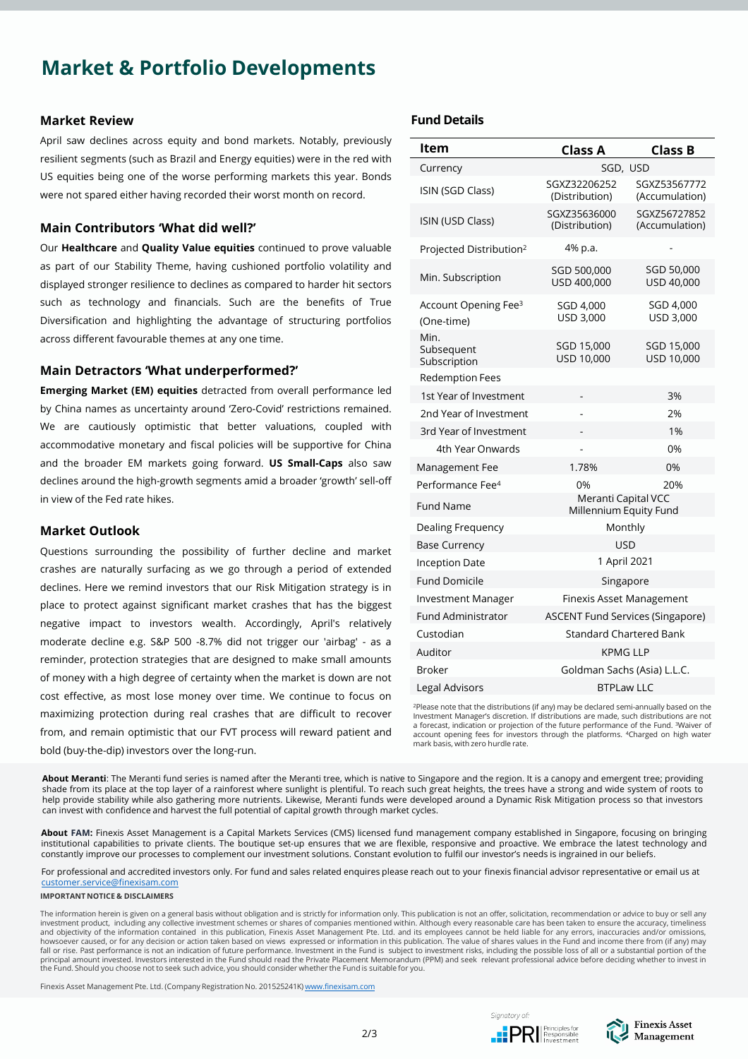# **Market & Portfolio Developments**

#### **Market Review**

April saw declines across equity and bond markets. Notably, previously resilient segments (such as Brazil and Energy equities) were in the red with US equities being one of the worse performing markets this year. Bonds were not spared either having recorded their worst month on record.

### **Main Contributors 'What did well?'**

Our **Healthcare** and **Quality Value equities** continued to prove valuable as part of our Stability Theme, having cushioned portfolio volatility and displayed stronger resilience to declines as compared to harder hit sectors such as technology and financials. Such are the benefits of True Diversification and highlighting the advantage of structuring portfolios across different favourable themes at any one time.

### **Main Detractors 'What underperformed?'**

**Emerging Market (EM) equities** detracted from overall performance led by China names as uncertainty around 'Zero-Covid' restrictions remained. We are cautiously optimistic that better valuations, coupled with accommodative monetary and fiscal policies will be supportive for China and the broader EM markets going forward. **US Small-Caps** also saw declines around the high-growth segments amid a broader 'growth' sell-off in view of the Fed rate hikes.

### **Market Outlook**

Questions surrounding the possibility of further decline and market crashes are naturally surfacing as we go through a period of extended declines. Here we remind investors that our Risk Mitigation strategy is in place to protect against significant market crashes that has the biggest negative impact to investors wealth. Accordingly, April's relatively moderate decline e.g. S&P 500 -8.7% did not trigger our 'airbag' - as a reminder, protection strategies that are designed to make small amounts of money with a high degree of certainty when the market is down are not cost effective, as most lose money over time. We continue to focus on maximizing protection during real crashes that are difficult to recover from, and remain optimistic that our FVT process will reward patient and bold (buy-the-dip) investors over the long-run.

### **Fund Details**

| ltem                                                          | <b>Class A</b>                                | <b>Class B</b>                 |  |  |  |  |
|---------------------------------------------------------------|-----------------------------------------------|--------------------------------|--|--|--|--|
| Currency                                                      | SGD, USD                                      |                                |  |  |  |  |
| ISIN (SGD Class)                                              | SGXZ32206252<br>(Distribution)                | SGXZ53567772<br>(Accumulation) |  |  |  |  |
| ISIN (USD Class)                                              | SGXZ35636000<br>(Distribution)                | SGXZ56727852<br>(Accumulation) |  |  |  |  |
| Projected Distribution <sup>2</sup>                           | 4% p.a.                                       |                                |  |  |  |  |
| Min. Subscription                                             | SGD 500,000<br>USD 400,000                    | SGD 50,000<br>USD 40,000       |  |  |  |  |
| Account Opening Fee <sup>3</sup><br>(One-time)                | SGD 4,000<br>USD 3,000                        | SGD 4,000<br>USD 3,000         |  |  |  |  |
| Min.<br>Subsequent<br>Subscription                            | SGD 15,000<br>USD 10,000                      | SGD 15,000<br>USD 10,000       |  |  |  |  |
| <b>Redemption Fees</b>                                        |                                               |                                |  |  |  |  |
| 1st Year of Investment                                        |                                               | 3%                             |  |  |  |  |
| 2nd Year of Investment                                        |                                               | 2%                             |  |  |  |  |
| 3rd Year of Investment                                        |                                               | 1%                             |  |  |  |  |
| 4th Year Onwards                                              |                                               | 0%                             |  |  |  |  |
| Management Fee                                                | 1.78%                                         | 0%                             |  |  |  |  |
| Performance Fee <sup>4</sup>                                  | 0%                                            | 20%                            |  |  |  |  |
| <b>Fund Name</b>                                              | Meranti Capital VCC<br>Millennium Equity Fund |                                |  |  |  |  |
| Dealing Frequency                                             | Monthly                                       |                                |  |  |  |  |
| <b>Base Currency</b>                                          | <b>USD</b>                                    |                                |  |  |  |  |
| <b>Inception Date</b>                                         | 1 April 2021                                  |                                |  |  |  |  |
| <b>Fund Domicile</b>                                          | Singapore                                     |                                |  |  |  |  |
| <b>Investment Manager</b>                                     | <b>Finexis Asset Management</b>               |                                |  |  |  |  |
| Fund Administrator<br><b>ASCENT Fund Services (Singapore)</b> |                                               |                                |  |  |  |  |
| Custodian<br><b>Standard Chartered Bank</b>                   |                                               |                                |  |  |  |  |
| Auditor                                                       | <b>KPMG LLP</b>                               |                                |  |  |  |  |
| <b>Broker</b>                                                 | Goldman Sachs (Asia) L.L.C.                   |                                |  |  |  |  |
| Legal Advisors                                                | <b>BTPLaw LLC</b>                             |                                |  |  |  |  |

<sup>2</sup>Please note that the distributions (if any) may be declared semi-annually based on the Investment Manager's discretion. If distributions are made, such distributions are not a forecast, indication or projection of the future performance of the Fund. <sup>3</sup>Waiver of account opening fees for investors through the platforms. <sup>4</sup>Charged on high water mark basis, with zero hurdle rate.

**About Meranti**: The Meranti fund series is named after the Meranti tree, which is native to Singapore and the region. It is a canopy and emergent tree; providing shade from its place at the top layer of a rainforest where sunlight is plentiful. To reach such great heights, the trees have a strong and wide system of roots to help provide stability while also gathering more nutrients. Likewise, Meranti funds were developed around a Dynamic Risk Mitigation process so that investors can invest with confidence and harvest the full potential of capital growth through market cycles.

**About FAM:** Finexis Asset Management is a Capital Markets Services (CMS) licensed fund management company established in Singapore, focusing on bringing institutional capabilities to private clients. The boutique set-up ensures that we are flexible, responsive and proactive. We embrace the latest technology and constantly improve our processes to complement our investment solutions. Constant evolution to fulfil our investor's needs is ingrained in our beliefs.

For professional and accredited investors only. For fund and sales related enquires please reach out to your finexis financial advisor representative or email us at [customer.service@finexisam.com](mailto:customer.service@finexisam.com)

#### **IMPORTANT NOTICE & DISCLAIMERS**

The information herein is given on a general basis without obligation and is strictly for information only. This publication is not an offer, solicitation, recommendation or advice to buy or sell any investment product, including any collective investment schemes or shares of companies mentioned within. Although every reasonable care has been taken to ensure the accuracy, timeliness<br>and objectivity of the information c howsoever caused, or for any decision or action taken based on views expressed or information in this publication. The value of shares values in the Fund and income there from (if any) may<br>fall or rise. Past performance i principal amount invested. Investors interested in the Fund should read the Private Placement Memorandum (PPM) and seek relevant professional advice before deciding whether to invest in<br>the Fund. Should you choose not to

Finexis Asset Management Pte. Ltd. (Company Registration No. 201525241K) [www.finexisam.com](http://www.finexisam.com/)